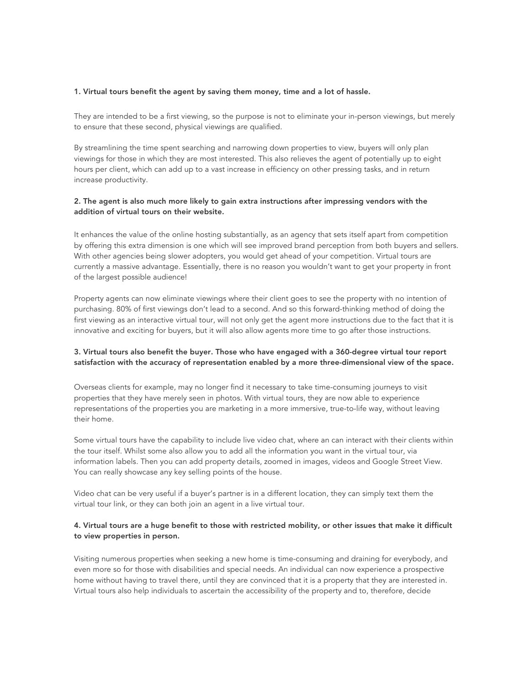#### 1. Virtual tours benefit the agent by saving them money, time and a lot of hassle.

They are intended to be a first viewing, so the purpose is not to eliminate your in-person viewings, but merely to ensure that these second, physical viewings are qualified.

By streamlining the time spent searching and narrowing down properties to view, buyers will only plan viewings for those in which they are most interested. This also relieves the agent of potentially up to eight hours per client, which can add up to a vast increase in efficiency on other pressing tasks, and in return increase productivity.

# 2. The agent is also much more likely to gain extra instructions after impressing vendors with the addition of virtual tours on their website.

It enhances the value of the online hosting substantially, as an agency that sets itself apart from competition by offering this extra dimension is one which will see improved brand perception from both buyers and sellers. With other agencies being slower adopters, you would get ahead of your competition. Virtual tours are currently a massive advantage. Essentially, there is no reason you wouldn't want to get your property in front of the largest possible audience!

Property agents can now eliminate viewings where their client goes to see the property with no intention of purchasing. 80% of first viewings don't lead to a second. And so this forward-thinking method of doing the first viewing as an interactive virtual tour, will not only get the agent more instructions due to the fact that it is innovative and exciting for buyers, but it will also allow agents more time to go after those instructions.

## 3. Virtual tours also benefit the buyer. Those who have engaged with a 360-degree virtual tour report satisfaction with the accuracy of representation enabled by a more three-dimensional view of the space.

Overseas clients for example, may no longer find it necessary to take time-consuming journeys to visit properties that they have merely seen in photos. With virtual tours, they are now able to experience representations of the properties you are marketing in a more immersive, true-to-life way, without leaving their home.

Some virtual tours have the capability to include live video chat, where an can interact with their clients within the tour itself. Whilst some also allow you to add all the information you want in the virtual tour, via information labels. Then you can add property details, zoomed in images, videos and Google Street View. You can really showcase any key selling points of the house.

Video chat can be very useful if a buyer's partner is in a different location, they can simply text them the virtual tour link, or they can both join an agent in a live virtual tour.

## 4. Virtual tours are a huge benefit to those with restricted mobility, or other issues that make it difficult to view properties in person.

Visiting numerous properties when seeking a new home is time-consuming and draining for everybody, and even more so for those with disabilities and special needs. An individual can now experience a prospective home without having to travel there, until they are convinced that it is a property that they are interested in. Virtual tours also help individuals to ascertain the accessibility of the property and to, therefore, decide